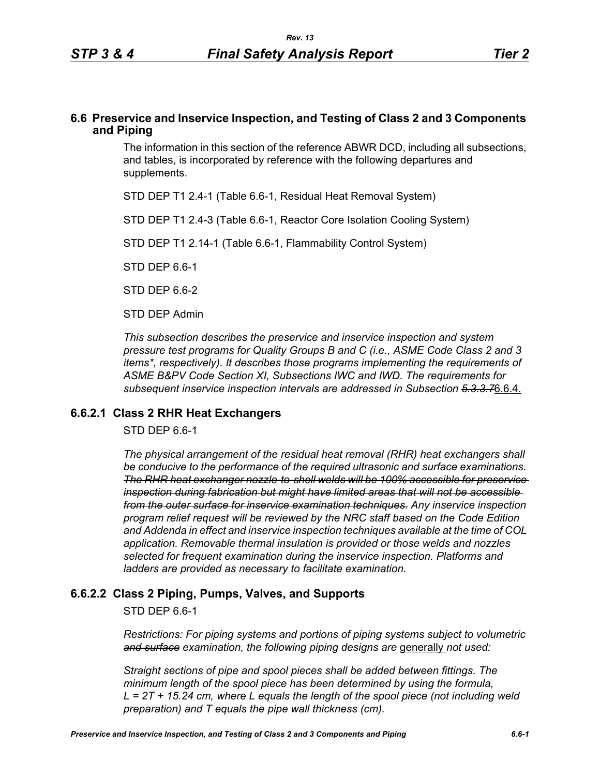### **6.6 Preservice and Inservice Inspection, and Testing of Class 2 and 3 Components and Piping**

The information in this section of the reference ABWR DCD, including all subsections, and tables, is incorporated by reference with the following departures and supplements.

STD DEP T1 2.4-1 (Table 6.6-1, Residual Heat Removal System)

STD DEP T1 2.4-3 (Table 6.6-1, Reactor Core Isolation Cooling System)

STD DEP T1 2.14-1 (Table 6.6-1, Flammability Control System)

STD DEP 6.6-1

STD DEP 6.6-2

STD DEP Admin

*This subsection describes the preservice and inservice inspection and system pressure test programs for Quality Groups B and C (i.e., ASME Code Class 2 and 3 items\*, respectively). It describes those programs implementing the requirements of ASME B&PV Code Section XI, Subsections IWC and IWD. The requirements for subsequent inservice inspection intervals are addressed in Subsection 5.3.3.7*6.6.4.

### **6.6.2.1 Class 2 RHR Heat Exchangers**

STD DEP 6.6-1

*The physical arrangement of the residual heat removal (RHR) heat exchangers shall be conducive to the performance of the required ultrasonic and surface examinations. The RHR heat exchanger nozzle-to-shell welds will be 100% accessible for preservice inspection during fabrication but might have limited areas that will not be accessible from the outer surface for inservice examination techniques. Any inservice inspection program relief request will be reviewed by the NRC staff based on the Code Edition and Addenda in effect and inservice inspection techniques available at the time of COL application. Removable thermal insulation is provided or those welds and nozzles selected for frequent examination during the inservice inspection. Platforms and ladders are provided as necessary to facilitate examination.*

### **6.6.2.2 Class 2 Piping, Pumps, Valves, and Supports**

STD DEP 6.6-1

*Restrictions: For piping systems and portions of piping systems subject to volumetric*  and surface examination, the following piping designs are generally not used:

*Straight sections of pipe and spool pieces shall be added between fittings. The minimum length of the spool piece has been determined by using the formula, L = 2T + 15.24 cm, where L equals the length of the spool piece (not including weld preparation) and T equals the pipe wall thickness (cm).*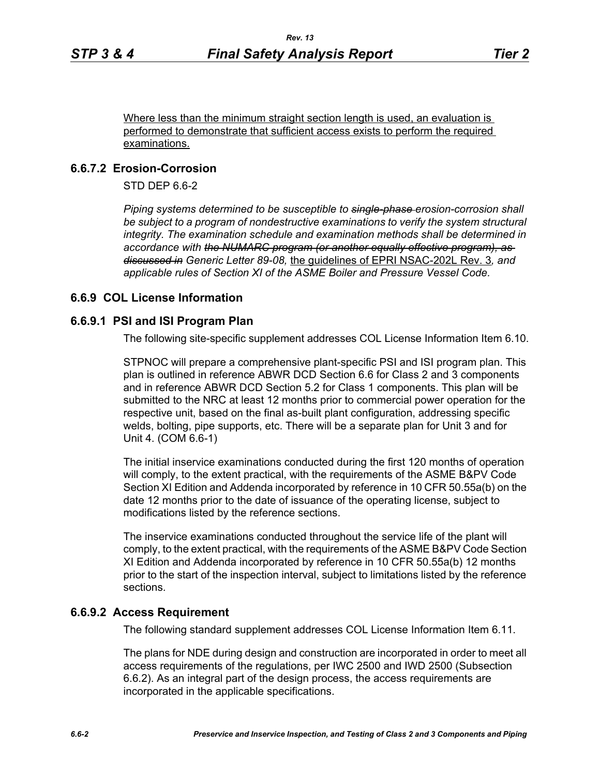Where less than the minimum straight section length is used, an evaluation is performed to demonstrate that sufficient access exists to perform the required examinations.

# **6.6.7.2 Erosion-Corrosion**

STD DEP 6.6-2

*Piping systems determined to be susceptible to single-phase erosion-corrosion shall*  be subject to a program of nondestructive examinations to verify the system structural *integrity. The examination schedule and examination methods shall be determined in accordance with the NUMARC program (or another equally effective program), as discussed in Generic Letter 89-08,* the guidelines of EPRI NSAC-202L Rev. 3*, and applicable rules of Section XI of the ASME Boiler and Pressure Vessel Code.*

# **6.6.9 COL License Information**

### **6.6.9.1 PSI and ISI Program Plan**

The following site-specific supplement addresses COL License Information Item 6.10.

STPNOC will prepare a comprehensive plant-specific PSI and ISI program plan. This plan is outlined in reference ABWR DCD Section 6.6 for Class 2 and 3 components and in reference ABWR DCD Section 5.2 for Class 1 components. This plan will be submitted to the NRC at least 12 months prior to commercial power operation for the respective unit, based on the final as-built plant configuration, addressing specific welds, bolting, pipe supports, etc. There will be a separate plan for Unit 3 and for Unit 4. (COM 6.6-1)

The initial inservice examinations conducted during the first 120 months of operation will comply, to the extent practical, with the requirements of the ASME B&PV Code Section XI Edition and Addenda incorporated by reference in 10 CFR 50.55a(b) on the date 12 months prior to the date of issuance of the operating license, subject to modifications listed by the reference sections.

The inservice examinations conducted throughout the service life of the plant will comply, to the extent practical, with the requirements of the ASME B&PV Code Section XI Edition and Addenda incorporated by reference in 10 CFR 50.55a(b) 12 months prior to the start of the inspection interval, subject to limitations listed by the reference sections.

### **6.6.9.2 Access Requirement**

The following standard supplement addresses COL License Information Item 6.11.

The plans for NDE during design and construction are incorporated in order to meet all access requirements of the regulations, per IWC 2500 and IWD 2500 (Subsection 6.6.2). As an integral part of the design process, the access requirements are incorporated in the applicable specifications.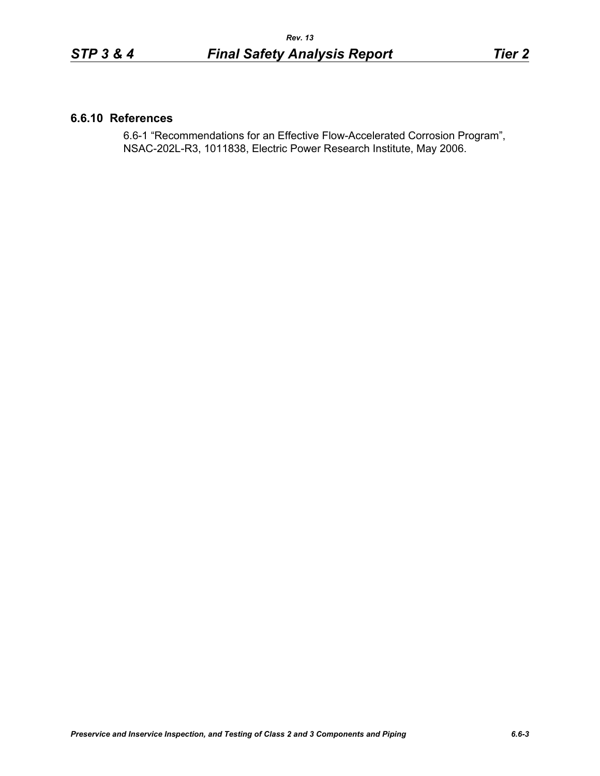### **6.6.10 References**

6.6-1 "Recommendations for an Effective Flow-Accelerated Corrosion Program", NSAC-202L-R3, 1011838, Electric Power Research Institute, May 2006.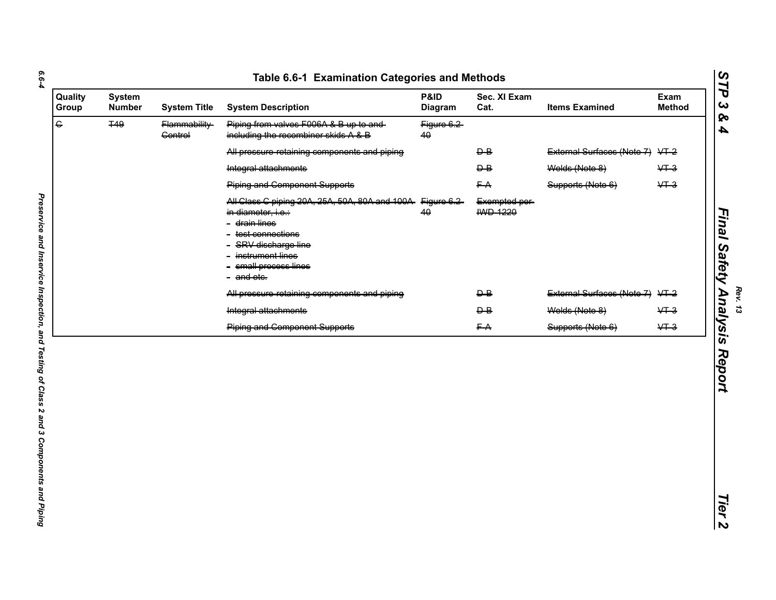| <b>System</b><br><b>Number</b> | <b>System Title</b>             | <b>System Description</b>                                                                                                                                 | P&ID<br>Diagram                                 | Sec. XI Exam<br>Cat.             | <b>Items Examined</b>      | Exam<br><b>Method</b>           |
|--------------------------------|---------------------------------|-----------------------------------------------------------------------------------------------------------------------------------------------------------|-------------------------------------------------|----------------------------------|----------------------------|---------------------------------|
| <b>T49</b>                     | Flammability-<br><b>Control</b> | Piping from valves F006A & B up to and-<br>including the recombiner skids A & B                                                                           | Figure 6.2<br>40                                |                                  |                            |                                 |
|                                |                                 | All pressure retaining components and piping                                                                                                              |                                                 | $\overline{P}$                   |                            |                                 |
|                                |                                 | Integral attachments                                                                                                                                      |                                                 | $\overline{P}$                   | Welds (Note 8)             | $&+3$                           |
|                                |                                 | <b>Piping and Component Supports</b>                                                                                                                      |                                                 | FA                               | Supports (Note 6)          | $&+3$                           |
|                                |                                 | in diameter, i.e.:<br>- <del>drain lines</del><br>- test connections<br>- SRV discharge line<br>- instrument lines<br>- small process lines<br>- and etc. | 40                                              | Exempted per-<br><b>IWD 1220</b> |                            |                                 |
|                                |                                 | All pressure retaining components and piping                                                                                                              |                                                 | $\overline{P}$                   | External Surfaces (Note 7) | $+2$                            |
|                                |                                 | Integral attachments                                                                                                                                      |                                                 | $\overline{P}$                   | Welds (Note 8)             | $&+3$                           |
|                                |                                 | <b>Piping and Component Supports</b>                                                                                                                      |                                                 | FA                               | Supports (Note 6)          | $\sqrt{1}$                      |
|                                |                                 |                                                                                                                                                           |                                                 |                                  |                            |                                 |
|                                |                                 |                                                                                                                                                           |                                                 |                                  |                            |                                 |
|                                |                                 |                                                                                                                                                           | All Class C piping 20A, 25A, 50A, 80A and 100A- | Figure 6.2                       |                            | External Surfaces (Note 7) VT-2 |

*Final Safety Analysis Report*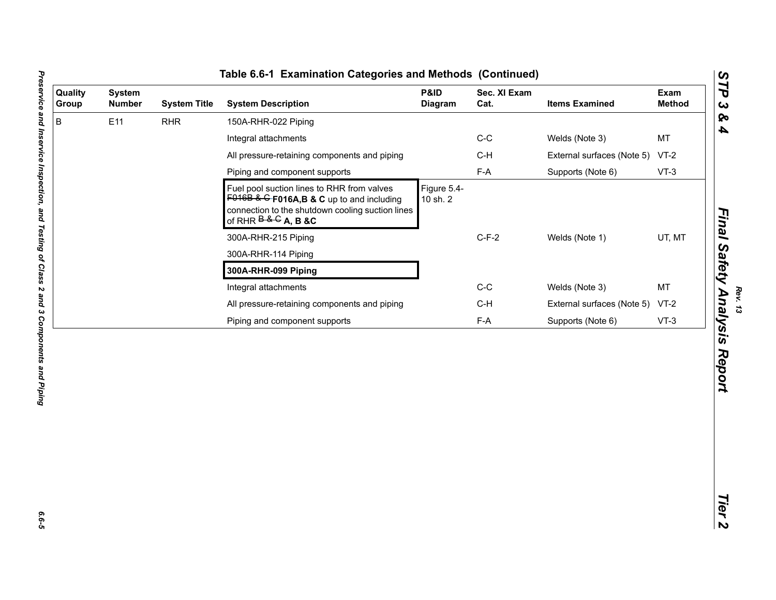| Quality<br>Group | <b>System</b><br><b>Number</b> | <b>System Title</b> | <b>System Description</b>                                                                                                                                                | P&ID<br><b>Diagram</b>  | Sec. XI Exam<br>Cat. | <b>Items Examined</b>      | Exam<br><b>Method</b> |
|------------------|--------------------------------|---------------------|--------------------------------------------------------------------------------------------------------------------------------------------------------------------------|-------------------------|----------------------|----------------------------|-----------------------|
| B                | E11                            | <b>RHR</b>          | 150A-RHR-022 Piping                                                                                                                                                      |                         |                      |                            |                       |
|                  |                                |                     | Integral attachments                                                                                                                                                     |                         | $C-C$                | Welds (Note 3)             | <b>MT</b>             |
|                  |                                |                     | All pressure-retaining components and piping                                                                                                                             |                         | $C-H$                | External surfaces (Note 5) | $VT-2$                |
|                  |                                |                     | Piping and component supports                                                                                                                                            |                         | $F-A$                | Supports (Note 6)          | $VT-3$                |
|                  |                                |                     | Fuel pool suction lines to RHR from valves<br>$F016B$ & G F016A, B & C up to and including<br>connection to the shutdown cooling suction lines<br>of RHR $B & G$ A, B &C | Figure 5.4-<br>10 sh. 2 |                      |                            |                       |
|                  |                                |                     | 300A-RHR-215 Piping                                                                                                                                                      |                         | $C-F-2$              | Welds (Note 1)             | UT, MT                |
|                  |                                |                     | 300A-RHR-114 Piping                                                                                                                                                      |                         |                      |                            |                       |
|                  |                                |                     | 300A-RHR-099 Piping                                                                                                                                                      |                         |                      |                            |                       |
|                  |                                |                     | Integral attachments                                                                                                                                                     |                         | $C-C$                | Welds (Note 3)             | MT                    |
|                  |                                |                     | All pressure-retaining components and piping                                                                                                                             |                         | $C-H$                | External surfaces (Note 5) | $VT-2$                |
|                  |                                |                     | Piping and component supports                                                                                                                                            |                         | $F-A$                | Supports (Note 6)          | $VT-3$                |
|                  |                                |                     |                                                                                                                                                                          |                         |                      |                            |                       |
|                  |                                |                     |                                                                                                                                                                          |                         |                      |                            |                       |
|                  |                                |                     |                                                                                                                                                                          |                         |                      |                            |                       |

*Rev. 13*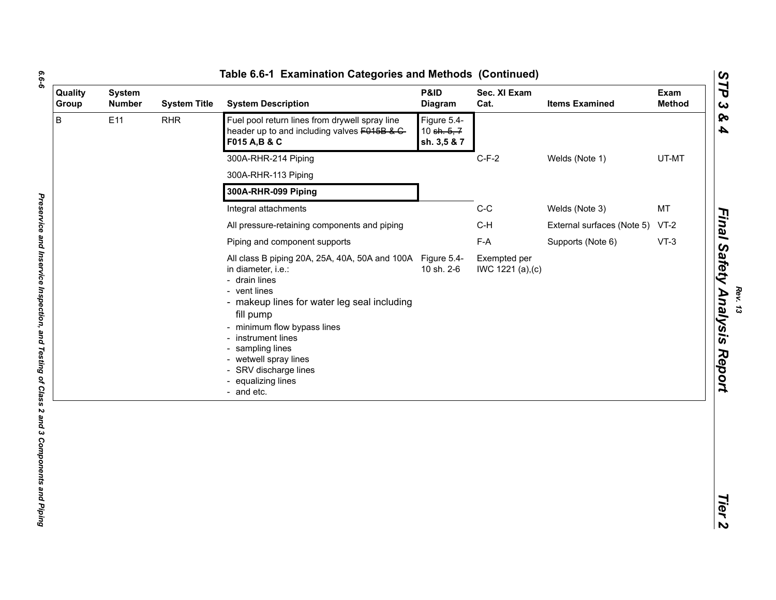| B<br>Fuel pool return lines from drywell spray line<br>E11<br><b>RHR</b><br>Figure 5.4-<br>header up to and including valves F015B & C-<br>10 sh. 5, 7<br>F015 A, B & C<br>sh. 3,5 & 7<br>300A-RHR-214 Piping<br>$C-F-2$<br>Welds (Note 1)<br>300A-RHR-113 Piping<br>300A-RHR-099 Piping<br>$C-C$<br>MT<br>Integral attachments<br>Welds (Note 3)<br>$C-H$<br>All pressure-retaining components and piping<br>$VT-2$<br>External surfaces (Note 5)<br>$F-A$<br>$VT-3$<br>Piping and component supports<br>Supports (Note 6)<br>All class B piping 20A, 25A, 40A, 50A and 100A Figure 5.4-<br>Exempted per<br>10 sh. 2-6<br>in diameter, i.e.:<br>IWC 1221 (a), (c)<br>- drain lines<br>- vent lines<br>- makeup lines for water leg seal including<br>fill pump<br>- minimum flow bypass lines<br>- instrument lines<br>- sampling lines<br>- wetwell spray lines<br>- SRV discharge lines<br>- equalizing lines<br>- and etc. | Quality<br>Group | <b>System</b><br><b>Number</b> | <b>System Title</b> | <b>System Description</b> | P&ID<br><b>Diagram</b> | Sec. XI Exam<br>Cat. | <b>Items Examined</b> | Exam<br><b>Method</b> |
|--------------------------------------------------------------------------------------------------------------------------------------------------------------------------------------------------------------------------------------------------------------------------------------------------------------------------------------------------------------------------------------------------------------------------------------------------------------------------------------------------------------------------------------------------------------------------------------------------------------------------------------------------------------------------------------------------------------------------------------------------------------------------------------------------------------------------------------------------------------------------------------------------------------------------------|------------------|--------------------------------|---------------------|---------------------------|------------------------|----------------------|-----------------------|-----------------------|
|                                                                                                                                                                                                                                                                                                                                                                                                                                                                                                                                                                                                                                                                                                                                                                                                                                                                                                                                |                  |                                |                     |                           |                        |                      |                       |                       |
|                                                                                                                                                                                                                                                                                                                                                                                                                                                                                                                                                                                                                                                                                                                                                                                                                                                                                                                                |                  |                                |                     |                           |                        |                      |                       | UT-MT                 |
|                                                                                                                                                                                                                                                                                                                                                                                                                                                                                                                                                                                                                                                                                                                                                                                                                                                                                                                                |                  |                                |                     |                           |                        |                      |                       |                       |
|                                                                                                                                                                                                                                                                                                                                                                                                                                                                                                                                                                                                                                                                                                                                                                                                                                                                                                                                |                  |                                |                     |                           |                        |                      |                       |                       |
|                                                                                                                                                                                                                                                                                                                                                                                                                                                                                                                                                                                                                                                                                                                                                                                                                                                                                                                                |                  |                                |                     |                           |                        |                      |                       |                       |
|                                                                                                                                                                                                                                                                                                                                                                                                                                                                                                                                                                                                                                                                                                                                                                                                                                                                                                                                |                  |                                |                     |                           |                        |                      |                       |                       |
|                                                                                                                                                                                                                                                                                                                                                                                                                                                                                                                                                                                                                                                                                                                                                                                                                                                                                                                                |                  |                                |                     |                           |                        |                      |                       |                       |
|                                                                                                                                                                                                                                                                                                                                                                                                                                                                                                                                                                                                                                                                                                                                                                                                                                                                                                                                |                  |                                |                     |                           |                        |                      |                       |                       |

*Final Safety Analysis Report*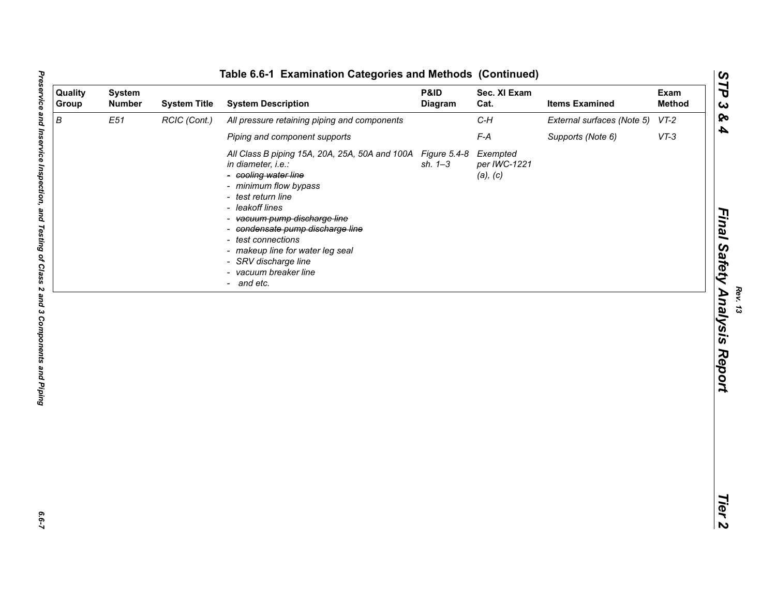|                  |                                |                     | Table 6.6-1 Examination Categories and Methods (Continued)                                                                                                                                                                                                                                                                                                             |                        |                                      |                            |                       |
|------------------|--------------------------------|---------------------|------------------------------------------------------------------------------------------------------------------------------------------------------------------------------------------------------------------------------------------------------------------------------------------------------------------------------------------------------------------------|------------------------|--------------------------------------|----------------------------|-----------------------|
| Quality<br>Group | <b>System</b><br><b>Number</b> | <b>System Title</b> | <b>System Description</b>                                                                                                                                                                                                                                                                                                                                              | P&ID<br><b>Diagram</b> | Sec. XI Exam<br>Cat.                 | <b>Items Examined</b>      | Exam<br><b>Method</b> |
| $\boldsymbol{B}$ | E51                            | RCIC (Cont.)        | All pressure retaining piping and components                                                                                                                                                                                                                                                                                                                           |                        | $C-H$                                | External surfaces (Note 5) | $VT-2$                |
|                  |                                |                     | Piping and component supports                                                                                                                                                                                                                                                                                                                                          |                        | $F-A$                                | Supports (Note 6)          | $VT-3$                |
|                  |                                |                     | All Class B piping 15A, 20A, 25A, 50A and 100A Figure 5.4-8<br>in diameter, i.e.:<br>- cooling water line<br>- minimum flow bypass<br>- test return line<br>- leakoff lines<br>- vacuum pump discharge line<br>- condensate pump discharge line<br>- test connections<br>- makeup line for water leg seal<br>SRV discharge line<br>- vacuum breaker line<br>- and etc. | $sh. 1 - 3$            | Exempted<br>per IWC-1221<br>(a), (c) |                            |                       |
|                  |                                |                     |                                                                                                                                                                                                                                                                                                                                                                        |                        |                                      |                            |                       |